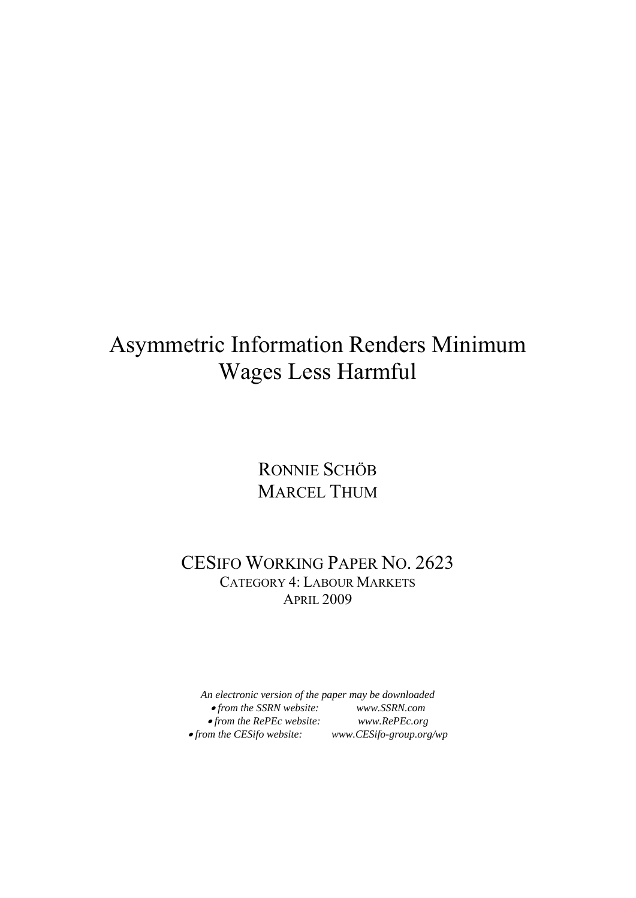# Asymmetric Information Renders Minimum Wages Less Harmful

RONNIE SCHÖB MARCEL THUM

### CESIFO WORKING PAPER NO. 2623 CATEGORY 4: LABOUR MARKETS APRIL 2009

*An electronic version of the paper may be downloaded*  • *from the SSRN website: www.SSRN.com*  • *from the RePEc website: www.RePEc.org*  •*from the CESifo website: www.CESifo-group.org/wp*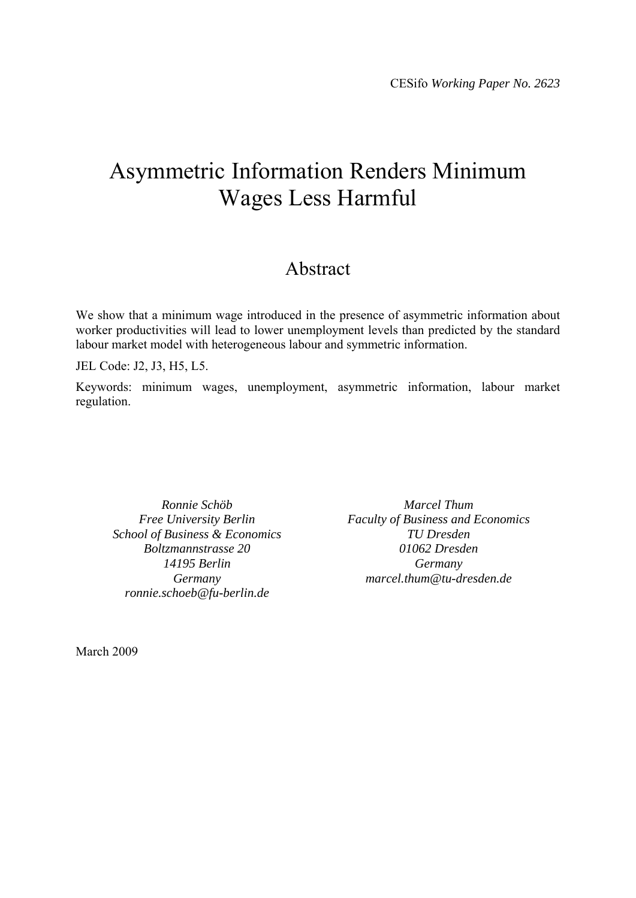## Asymmetric Information Renders Minimum Wages Less Harmful

## Abstract

We show that a minimum wage introduced in the presence of asymmetric information about worker productivities will lead to lower unemployment levels than predicted by the standard labour market model with heterogeneous labour and symmetric information.

JEL Code: J2, J3, H5, L5.

Keywords: minimum wages, unemployment, asymmetric information, labour market regulation.

*Ronnie Schöb Free University Berlin School of Business & Economics Boltzmannstrasse 20 14195 Berlin Germany ronnie.schoeb@fu-berlin.de* 

*Marcel Thum Faculty of Business and Economics TU Dresden 01062 Dresden Germany marcel.thum@tu-dresden.de* 

March 2009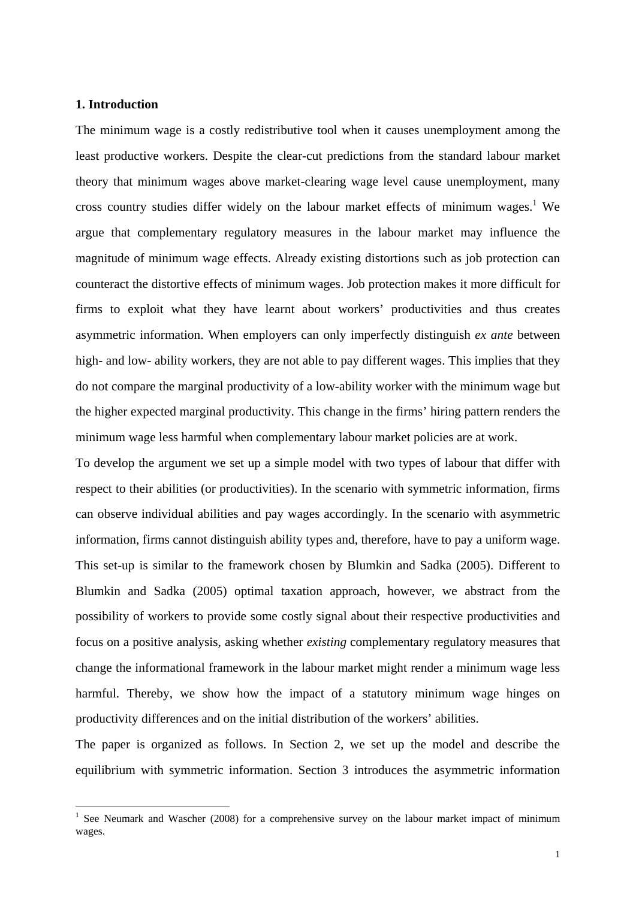#### **1. Introduction**

1

The minimum wage is a costly redistributive tool when it causes unemployment among the least productive workers. Despite the clear-cut predictions from the standard labour market theory that minimum wages above market-clearing wage level cause unemployment, many cross country studies differ widely on the labour market effects of minimum wages.<sup>1</sup> We argue that complementary regulatory measures in the labour market may influence the magnitude of minimum wage effects. Already existing distortions such as job protection can counteract the distortive effects of minimum wages. Job protection makes it more difficult for firms to exploit what they have learnt about workers' productivities and thus creates asymmetric information. When employers can only imperfectly distinguish *ex ante* between high- and low- ability workers, they are not able to pay different wages. This implies that they do not compare the marginal productivity of a low-ability worker with the minimum wage but the higher expected marginal productivity. This change in the firms' hiring pattern renders the minimum wage less harmful when complementary labour market policies are at work.

To develop the argument we set up a simple model with two types of labour that differ with respect to their abilities (or productivities). In the scenario with symmetric information, firms can observe individual abilities and pay wages accordingly. In the scenario with asymmetric information, firms cannot distinguish ability types and, therefore, have to pay a uniform wage. This set-up is similar to the framework chosen by Blumkin and Sadka (2005). Different to Blumkin and Sadka (2005) optimal taxation approach, however, we abstract from the possibility of workers to provide some costly signal about their respective productivities and focus on a positive analysis, asking whether *existing* complementary regulatory measures that change the informational framework in the labour market might render a minimum wage less harmful. Thereby, we show how the impact of a statutory minimum wage hinges on productivity differences and on the initial distribution of the workers' abilities.

The paper is organized as follows. In Section 2, we set up the model and describe the equilibrium with symmetric information. Section 3 introduces the asymmetric information

<sup>&</sup>lt;sup>1</sup> See Neumark and Wascher (2008) for a comprehensive survey on the labour market impact of minimum wages.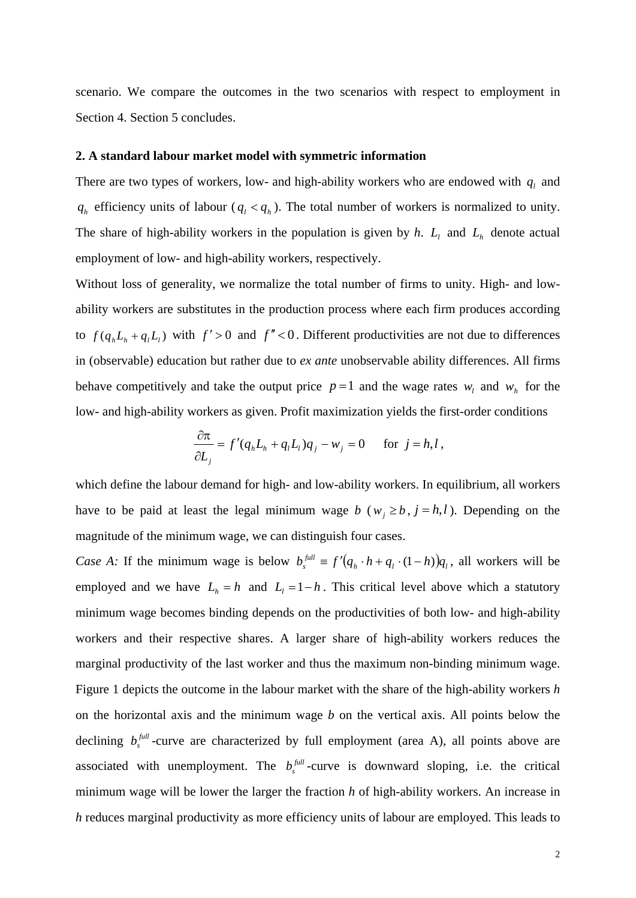scenario. We compare the outcomes in the two scenarios with respect to employment in Section 4. Section 5 concludes.

#### **2. A standard labour market model with symmetric information**

There are two types of workers, low- and high-ability workers who are endowed with  $q_l$  and  $q_h$  efficiency units of labour ( $q_l < q_h$ ). The total number of workers is normalized to unity. The share of high-ability workers in the population is given by  $h$ .  $L_1$  and  $L_h$  denote actual employment of low- and high-ability workers, respectively.

Without loss of generality, we normalize the total number of firms to unity. High- and lowability workers are substitutes in the production process where each firm produces according to  $f(q_h L_h + q_l L_l)$  with  $f' > 0$  and  $f'' < 0$ . Different productivities are not due to differences in (observable) education but rather due to *ex ante* unobservable ability differences. All firms behave competitively and take the output price  $p=1$  and the wage rates  $w_i$  and  $w_i$  for the low- and high-ability workers as given. Profit maximization yields the first-order conditions

$$
\frac{\partial \pi}{\partial L_j} = f'(q_h L_h + q_l L_l) q_j - w_j = 0 \quad \text{for } j = h, l,
$$

which define the labour demand for high- and low-ability workers. In equilibrium, all workers have to be paid at least the legal minimum wage *b* ( $w_i \ge b$ ,  $j = h, l$ ). Depending on the magnitude of the minimum wage, we can distinguish four cases.

*Case A:* If the minimum wage is below  $b_s^{full} \equiv f'(q_h \cdot h + q_l \cdot (1-h))q_l$ , all workers will be employed and we have  $L_h = h$  and  $L_l = 1 - h$ . This critical level above which a statutory minimum wage becomes binding depends on the productivities of both low- and high-ability workers and their respective shares. A larger share of high-ability workers reduces the marginal productivity of the last worker and thus the maximum non-binding minimum wage. Figure 1 depicts the outcome in the labour market with the share of the high-ability workers *h* on the horizontal axis and the minimum wage *b* on the vertical axis. All points below the declining  $b_s^{full}$ -curve are characterized by full employment (area A), all points above are associated with unemployment. The  $b_s^{full}$ -curve is downward sloping, i.e. the critical minimum wage will be lower the larger the fraction *h* of high-ability workers. An increase in *h* reduces marginal productivity as more efficiency units of labour are employed. This leads to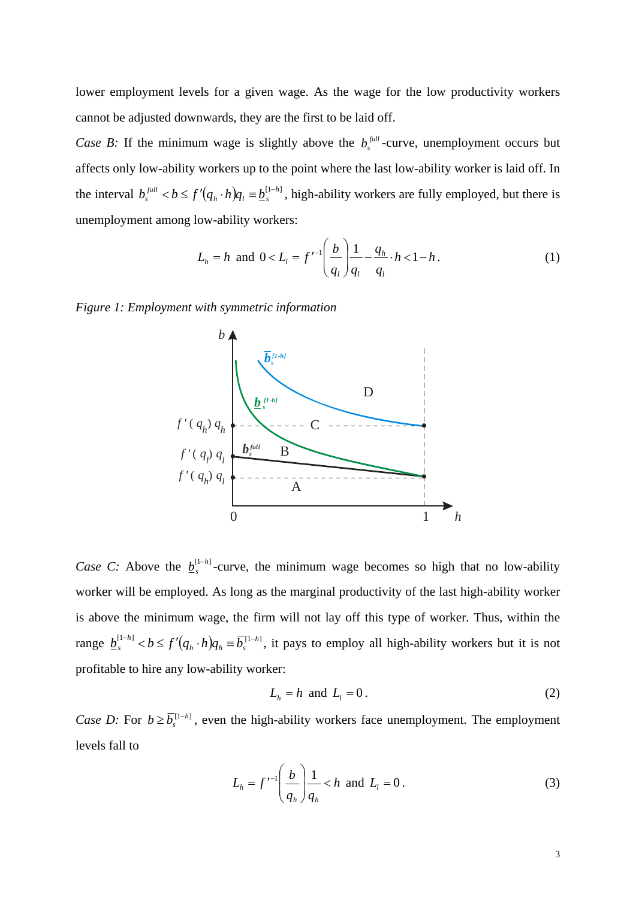lower employment levels for a given wage. As the wage for the low productivity workers cannot be adjusted downwards, they are the first to be laid off.

*Case B:* If the minimum wage is slightly above the  $b_s^{full}$ -curve, unemployment occurs but affects only low-ability workers up to the point where the last low-ability worker is laid off. In the interval  $b_s^{full} < b \le f'(q_h \cdot h)q_l \equiv \underline{b}_s^{[1-h]}$ , high-ability workers are fully employed, but there is unemployment among low-ability workers:

$$
L_h = h \text{ and } 0 < L_l = f^{-1} \left( \frac{b}{q_l} \right) \frac{1}{q_l} - \frac{q_h}{q_l} \cdot h < 1 - h. \tag{1}
$$

*Figure 1: Employment with symmetric information* 



*Case C:* Above the  $\underline{b}_s^{[1-h]}$ -curve, the minimum wage becomes so high that no low-ability worker will be employed. As long as the marginal productivity of the last high-ability worker is above the minimum wage, the firm will not lay off this type of worker. Thus, within the range  $\underline{b}_s^{[1-h]} < b \le f'(q_h \cdot h)q_h \equiv \overline{b}_s^{[1-h]}$ , it pays to employ all high-ability workers but it is not profitable to hire any low-ability worker:

$$
L_h = h \text{ and } L_l = 0. \tag{2}
$$

*Case D:* For  $b \ge \overline{b}_s^{\{1-h\}}$ , even the high-ability workers face unemployment. The employment levels fall to

$$
L_h = f^{-1} \left( \frac{b}{q_h} \right) \frac{1}{q_h} < h \text{ and } L_l = 0 \,. \tag{3}
$$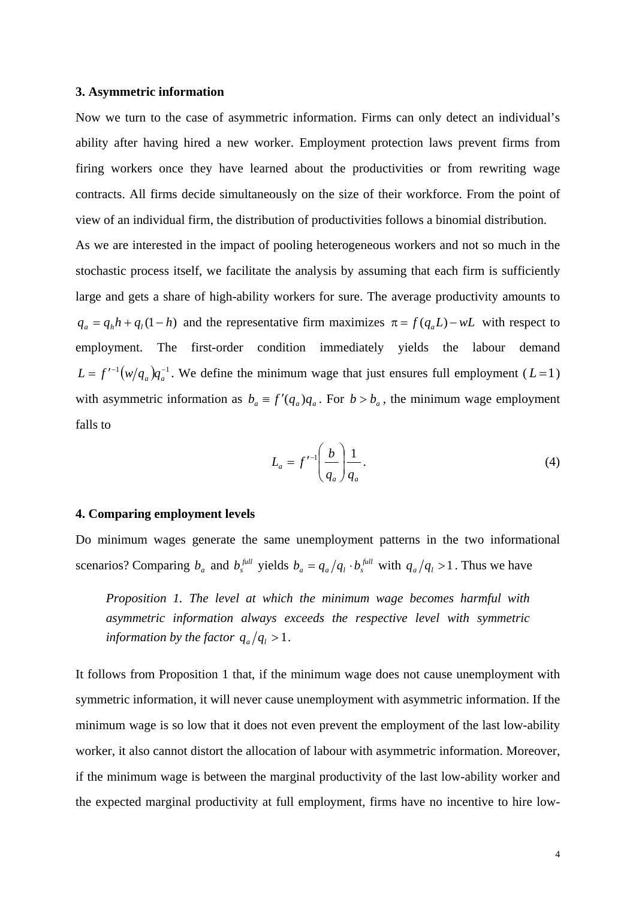#### **3. Asymmetric information**

Now we turn to the case of asymmetric information. Firms can only detect an individual's ability after having hired a new worker. Employment protection laws prevent firms from firing workers once they have learned about the productivities or from rewriting wage contracts. All firms decide simultaneously on the size of their workforce. From the point of view of an individual firm, the distribution of productivities follows a binomial distribution.

As we are interested in the impact of pooling heterogeneous workers and not so much in the stochastic process itself, we facilitate the analysis by assuming that each firm is sufficiently large and gets a share of high-ability workers for sure. The average productivity amounts to  $q_a = q_h h + q_l (1 - h)$  and the representative firm maximizes  $\pi = f(q_a L) - wL$  with respect to employment. The first-order condition immediately yields the labour demand  $L = f^{-1}(w/q_a)q_a^{-1}$ . We define the minimum wage that just ensures full employment ( $L = 1$ ) with asymmetric information as  $b_a \equiv f'(q_a)q_a$ . For  $b > b_a$ , the minimum wage employment falls to

$$
L_a = f'^{-1} \left(\frac{b}{q_a}\right) \frac{1}{q_a}.
$$
\n<sup>(4)</sup>

#### **4. Comparing employment levels**

Do minimum wages generate the same unemployment patterns in the two informational scenarios? Comparing  $b_a$  and  $b_s^{full}$  yields  $b_a = q_a/q_i \cdot b_s^{full}$  with  $q_a/q_i > 1$ . Thus we have

*Proposition 1. The level at which the minimum wage becomes harmful with asymmetric information always exceeds the respective level with symmetric information by the factor*  $q_a/q_l > 1$ .

It follows from Proposition 1 that, if the minimum wage does not cause unemployment with symmetric information, it will never cause unemployment with asymmetric information. If the minimum wage is so low that it does not even prevent the employment of the last low-ability worker, it also cannot distort the allocation of labour with asymmetric information. Moreover, if the minimum wage is between the marginal productivity of the last low-ability worker and the expected marginal productivity at full employment, firms have no incentive to hire low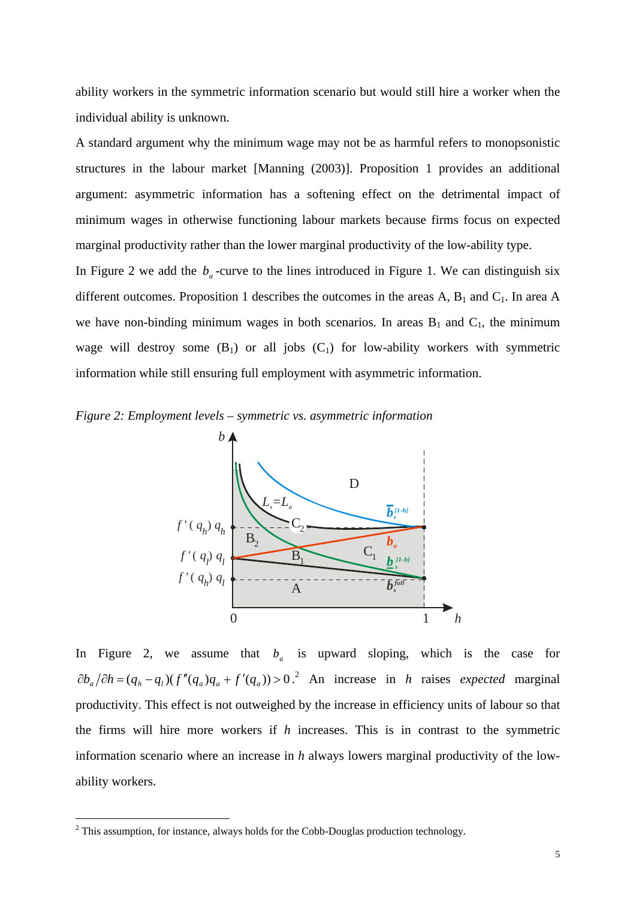ability workers in the symmetric information scenario but would still hire a worker when the individual ability is unknown.

A standard argument why the minimum wage may not be as harmful refers to monopsonistic structures in the labour market [Manning (2003)]. Proposition 1 provides an additional argument: asymmetric information has a softening effect on the detrimental impact of minimum wages in otherwise functioning labour markets because firms focus on expected marginal productivity rather than the lower marginal productivity of the low-ability type.

In Figure 2 we add the  $b_a$ -curve to the lines introduced in Figure 1. We can distinguish six different outcomes. Proposition 1 describes the outcomes in the areas A,  $B_1$  and  $C_1$ . In area A we have non-binding minimum wages in both scenarios. In areas  $B_1$  and  $C_1$ , the minimum wage will destroy some  $(B_1)$  or all jobs  $(C_1)$  for low-ability workers with symmetric information while still ensuring full employment with asymmetric information.

*Figure 2: Employment levels – symmetric vs. asymmetric information* 



In Figure 2, we assume that  $b_a$  is upward sloping, which is the case for  $\partial b_a / \partial h = (q_h - q_l) (f''(q_a)q_a + f'(q_a)) > 0$ .<sup>2</sup> An increase in *h* raises *expected* marginal productivity. This effect is not outweighed by the increase in efficiency units of labour so that the firms will hire more workers if *h* increases. This is in contrast to the symmetric information scenario where an increase in *h* always lowers marginal productivity of the lowability workers.

1

 $2$  This assumption, for instance, always holds for the Cobb-Douglas production technology.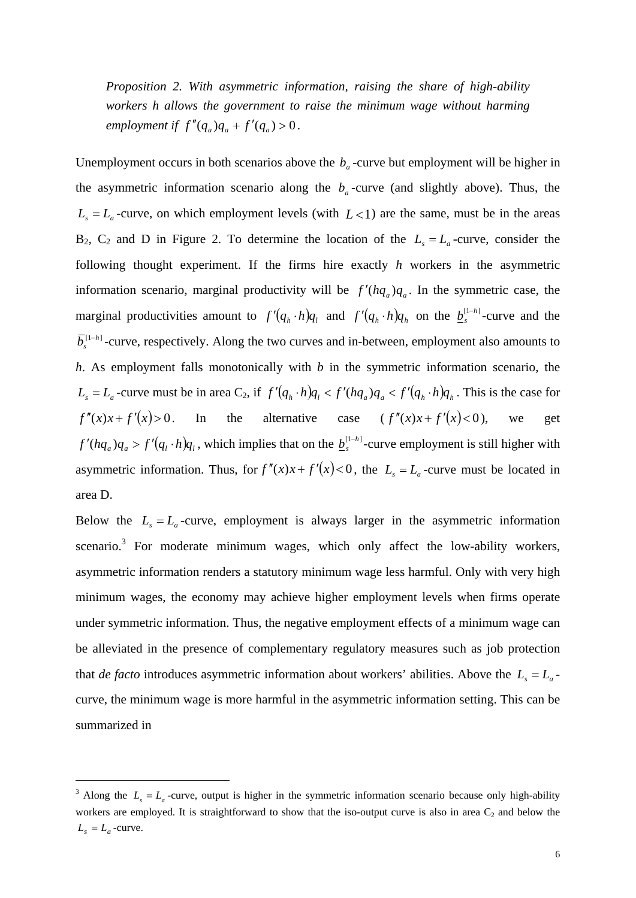*Proposition 2. With asymmetric information, raising the share of high-ability workers h allows the government to raise the minimum wage without harming employment if*  $f''(q_a)q_a + f'(q_a) > 0$ .

Unemployment occurs in both scenarios above the  $b<sub>a</sub>$ -curve but employment will be higher in the asymmetric information scenario along the  $b<sub>a</sub>$ -curve (and slightly above). Thus, the  $L<sub>s</sub> = L<sub>a</sub>$ -curve, on which employment levels (with  $L < 1$ ) are the same, must be in the areas  $B_2$ ,  $C_2$  and D in Figure 2. To determine the location of the  $L<sub>s</sub> = L<sub>a</sub>$ -curve, consider the following thought experiment. If the firms hire exactly *h* workers in the asymmetric information scenario, marginal productivity will be  $f'(hq_a)q_a$ . In the symmetric case, the marginal productivities amount to  $f'(q_h \cdot h)q_l$  and  $f'(q_h \cdot h)q_h$  on the  $\underline{b}_s^{[1-h]}$ -curve and the  $\overline{b}_s^{[1-h]}$ -curve, respectively. Along the two curves and in-between, employment also amounts to *h*. As employment falls monotonically with *b* in the symmetric information scenario, the  $L_s = L_a$ -curve must be in area C<sub>2</sub>, if  $f'(q_h \cdot h)q_h < f'(hq_a)q_a < f'(q_h \cdot h)q_h$ . This is the case for  $f''(x)x + f'(x) > 0$ . In the alternative case  $(f''(x)x + f'(x) < 0)$ , we get  $f'(hq_a)q_a > f'(q_i \cdot h)q_i$ , which implies that on the  $\underline{b}_s^{[1-h]}$ -curve employment is still higher with asymmetric information. Thus, for  $f''(x)x + f'(x) < 0$ , the  $L<sub>s</sub> = L<sub>a</sub>$ -curve must be located in area D.

Below the  $L<sub>s</sub> = L<sub>a</sub>$ -curve, employment is always larger in the asymmetric information scenario.<sup>3</sup> For moderate minimum wages, which only affect the low-ability workers, asymmetric information renders a statutory minimum wage less harmful. Only with very high minimum wages, the economy may achieve higher employment levels when firms operate under symmetric information. Thus, the negative employment effects of a minimum wage can be alleviated in the presence of complementary regulatory measures such as job protection that *de facto* introduces asymmetric information about workers' abilities. Above the  $L<sub>s</sub> = L<sub>a</sub>$ curve, the minimum wage is more harmful in the asymmetric information setting. This can be summarized in

1

<sup>&</sup>lt;sup>3</sup> Along the  $L_s = L_a$ -curve, output is higher in the symmetric information scenario because only high-ability workers are employed. It is straightforward to show that the iso-output curve is also in area  $C_2$  and below the  $L_s = L_a$ -curve.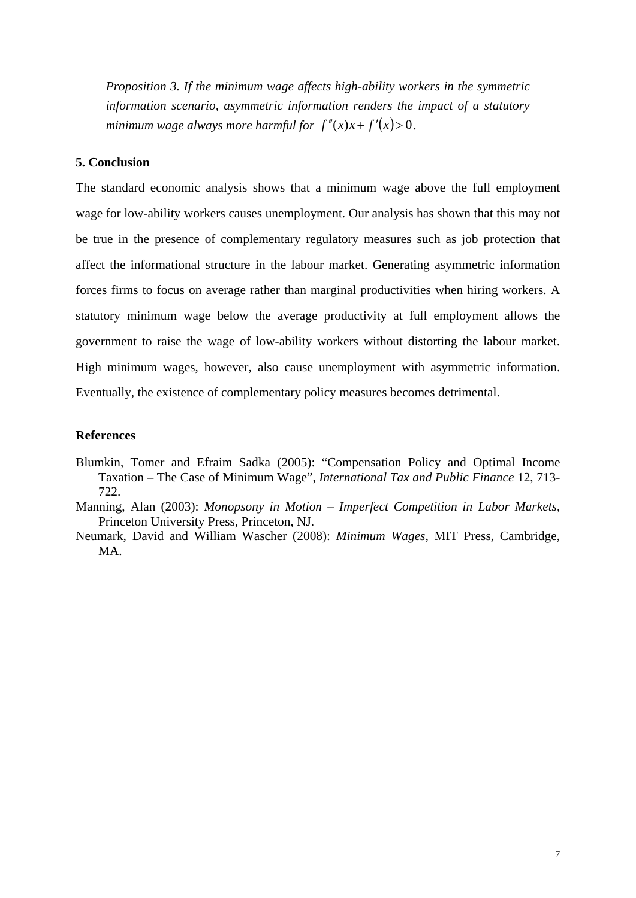*Proposition 3. If the minimum wage affects high-ability workers in the symmetric information scenario, asymmetric information renders the impact of a statutory minimum wage always more harmful for*  $f''(x)x + f'(x) > 0$ .

#### **5. Conclusion**

The standard economic analysis shows that a minimum wage above the full employment wage for low-ability workers causes unemployment. Our analysis has shown that this may not be true in the presence of complementary regulatory measures such as job protection that affect the informational structure in the labour market. Generating asymmetric information forces firms to focus on average rather than marginal productivities when hiring workers. A statutory minimum wage below the average productivity at full employment allows the government to raise the wage of low-ability workers without distorting the labour market. High minimum wages, however, also cause unemployment with asymmetric information. Eventually, the existence of complementary policy measures becomes detrimental.

#### **References**

- Blumkin, Tomer and Efraim Sadka (2005): "Compensation Policy and Optimal Income Taxation – The Case of Minimum Wage", *International Tax and Public Finance* 12, 713- 722.
- Manning, Alan (2003): *Monopsony in Motion Imperfect Competition in Labor Markets*, Princeton University Press, Princeton, NJ.
- Neumark, David and William Wascher (2008): *Minimum Wages*, MIT Press, Cambridge, MA.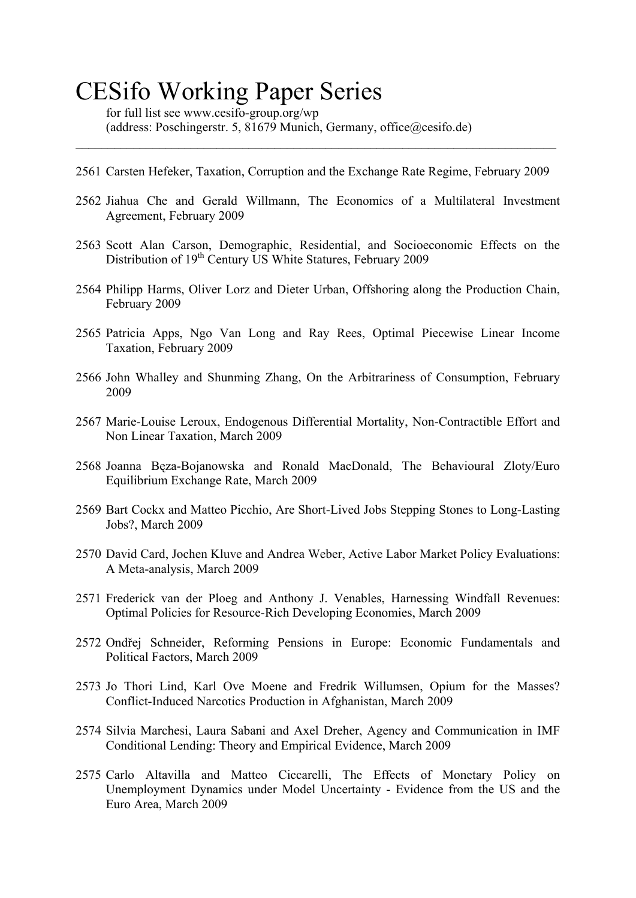# CESifo Working Paper Series

for full list see www.cesifo-group.org/wp (address: Poschingerstr. 5, 81679 Munich, Germany, office@cesifo.de)

2561 Carsten Hefeker, Taxation, Corruption and the Exchange Rate Regime, February 2009

 $\_$  , and the set of the set of the set of the set of the set of the set of the set of the set of the set of the set of the set of the set of the set of the set of the set of the set of the set of the set of the set of th

- 2562 Jiahua Che and Gerald Willmann, The Economics of a Multilateral Investment Agreement, February 2009
- 2563 Scott Alan Carson, Demographic, Residential, and Socioeconomic Effects on the Distribution of 19<sup>th</sup> Century US White Statures, February 2009
- 2564 Philipp Harms, Oliver Lorz and Dieter Urban, Offshoring along the Production Chain, February 2009
- 2565 Patricia Apps, Ngo Van Long and Ray Rees, Optimal Piecewise Linear Income Taxation, February 2009
- 2566 John Whalley and Shunming Zhang, On the Arbitrariness of Consumption, February 2009
- 2567 Marie-Louise Leroux, Endogenous Differential Mortality, Non-Contractible Effort and Non Linear Taxation, March 2009
- 2568 Joanna Bęza-Bojanowska and Ronald MacDonald, The Behavioural Zloty/Euro Equilibrium Exchange Rate, March 2009
- 2569 Bart Cockx and Matteo Picchio, Are Short-Lived Jobs Stepping Stones to Long-Lasting Jobs?, March 2009
- 2570 David Card, Jochen Kluve and Andrea Weber, Active Labor Market Policy Evaluations: A Meta-analysis, March 2009
- 2571 Frederick van der Ploeg and Anthony J. Venables, Harnessing Windfall Revenues: Optimal Policies for Resource-Rich Developing Economies, March 2009
- 2572 Ondřej Schneider, Reforming Pensions in Europe: Economic Fundamentals and Political Factors, March 2009
- 2573 Jo Thori Lind, Karl Ove Moene and Fredrik Willumsen, Opium for the Masses? Conflict-Induced Narcotics Production in Afghanistan, March 2009
- 2574 Silvia Marchesi, Laura Sabani and Axel Dreher, Agency and Communication in IMF Conditional Lending: Theory and Empirical Evidence, March 2009
- 2575 Carlo Altavilla and Matteo Ciccarelli, The Effects of Monetary Policy on Unemployment Dynamics under Model Uncertainty - Evidence from the US and the Euro Area, March 2009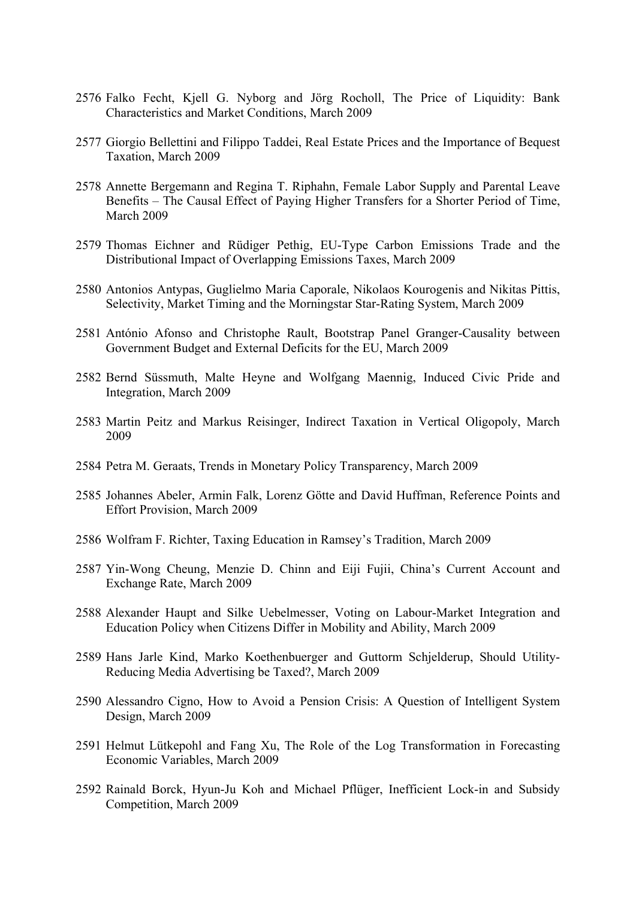- 2576 Falko Fecht, Kjell G. Nyborg and Jörg Rocholl, The Price of Liquidity: Bank Characteristics and Market Conditions, March 2009
- 2577 Giorgio Bellettini and Filippo Taddei, Real Estate Prices and the Importance of Bequest Taxation, March 2009
- 2578 Annette Bergemann and Regina T. Riphahn, Female Labor Supply and Parental Leave Benefits – The Causal Effect of Paying Higher Transfers for a Shorter Period of Time, March 2009
- 2579 Thomas Eichner and Rüdiger Pethig, EU-Type Carbon Emissions Trade and the Distributional Impact of Overlapping Emissions Taxes, March 2009
- 2580 Antonios Antypas, Guglielmo Maria Caporale, Nikolaos Kourogenis and Nikitas Pittis, Selectivity, Market Timing and the Morningstar Star-Rating System, March 2009
- 2581 António Afonso and Christophe Rault, Bootstrap Panel Granger-Causality between Government Budget and External Deficits for the EU, March 2009
- 2582 Bernd Süssmuth, Malte Heyne and Wolfgang Maennig, Induced Civic Pride and Integration, March 2009
- 2583 Martin Peitz and Markus Reisinger, Indirect Taxation in Vertical Oligopoly, March 2009
- 2584 Petra M. Geraats, Trends in Monetary Policy Transparency, March 2009
- 2585 Johannes Abeler, Armin Falk, Lorenz Götte and David Huffman, Reference Points and Effort Provision, March 2009
- 2586 Wolfram F. Richter, Taxing Education in Ramsey's Tradition, March 2009
- 2587 Yin-Wong Cheung, Menzie D. Chinn and Eiji Fujii, China's Current Account and Exchange Rate, March 2009
- 2588 Alexander Haupt and Silke Uebelmesser, Voting on Labour-Market Integration and Education Policy when Citizens Differ in Mobility and Ability, March 2009
- 2589 Hans Jarle Kind, Marko Koethenbuerger and Guttorm Schjelderup, Should Utility-Reducing Media Advertising be Taxed?, March 2009
- 2590 Alessandro Cigno, How to Avoid a Pension Crisis: A Question of Intelligent System Design, March 2009
- 2591 Helmut Lütkepohl and Fang Xu, The Role of the Log Transformation in Forecasting Economic Variables, March 2009
- 2592 Rainald Borck, Hyun-Ju Koh and Michael Pflüger, Inefficient Lock-in and Subsidy Competition, March 2009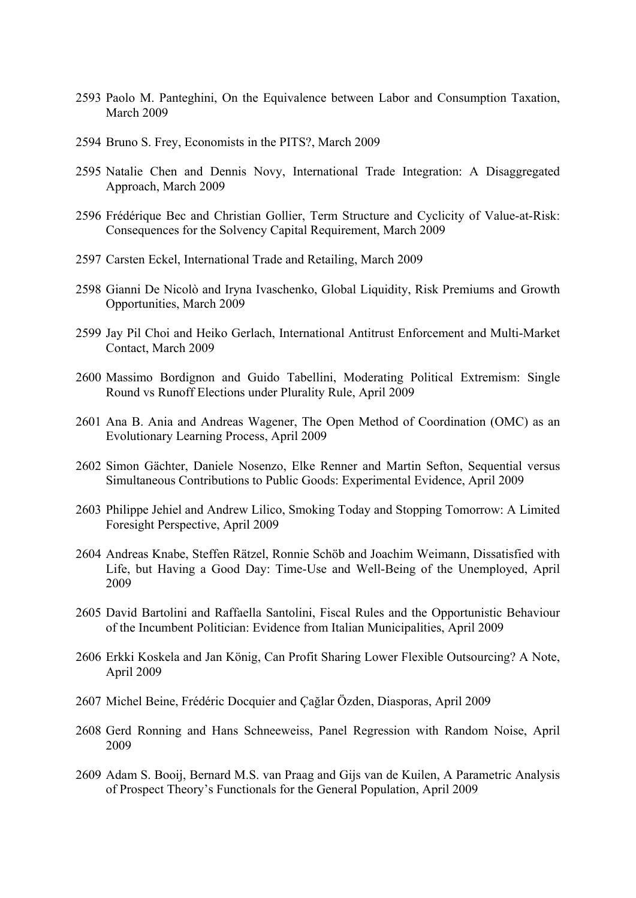- 2593 Paolo M. Panteghini, On the Equivalence between Labor and Consumption Taxation, March 2009
- 2594 Bruno S. Frey, Economists in the PITS?, March 2009
- 2595 Natalie Chen and Dennis Novy, International Trade Integration: A Disaggregated Approach, March 2009
- 2596 Frédérique Bec and Christian Gollier, Term Structure and Cyclicity of Value-at-Risk: Consequences for the Solvency Capital Requirement, March 2009
- 2597 Carsten Eckel, International Trade and Retailing, March 2009
- 2598 Gianni De Nicolò and Iryna Ivaschenko, Global Liquidity, Risk Premiums and Growth Opportunities, March 2009
- 2599 Jay Pil Choi and Heiko Gerlach, International Antitrust Enforcement and Multi-Market Contact, March 2009
- 2600 Massimo Bordignon and Guido Tabellini, Moderating Political Extremism: Single Round vs Runoff Elections under Plurality Rule, April 2009
- 2601 Ana B. Ania and Andreas Wagener, The Open Method of Coordination (OMC) as an Evolutionary Learning Process, April 2009
- 2602 Simon Gächter, Daniele Nosenzo, Elke Renner and Martin Sefton, Sequential versus Simultaneous Contributions to Public Goods: Experimental Evidence, April 2009
- 2603 Philippe Jehiel and Andrew Lilico, Smoking Today and Stopping Tomorrow: A Limited Foresight Perspective, April 2009
- 2604 Andreas Knabe, Steffen Rätzel, Ronnie Schöb and Joachim Weimann, Dissatisfied with Life, but Having a Good Day: Time-Use and Well-Being of the Unemployed, April 2009
- 2605 David Bartolini and Raffaella Santolini, Fiscal Rules and the Opportunistic Behaviour of the Incumbent Politician: Evidence from Italian Municipalities, April 2009
- 2606 Erkki Koskela and Jan König, Can Profit Sharing Lower Flexible Outsourcing? A Note, April 2009
- 2607 Michel Beine, Frédéric Docquier and Çağlar Özden, Diasporas, April 2009
- 2608 Gerd Ronning and Hans Schneeweiss, Panel Regression with Random Noise, April 2009
- 2609 Adam S. Booij, Bernard M.S. van Praag and Gijs van de Kuilen, A Parametric Analysis of Prospect Theory's Functionals for the General Population, April 2009